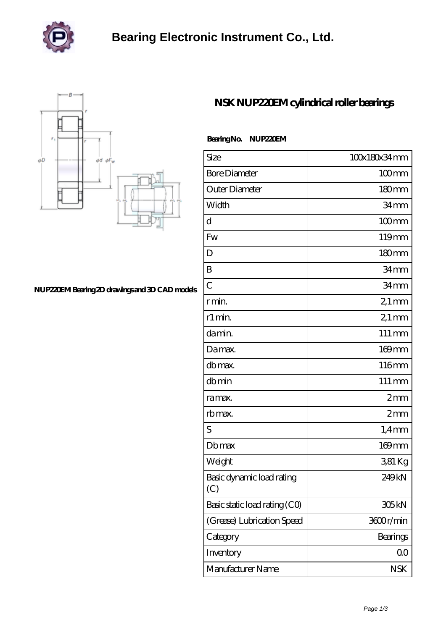

## **[Bearing Electronic Instrument Co., Ltd.](https://zlikb.com)**



### **[NUP220EM Bearing 2D drawings and 3D CAD models](https://zlikb.com/pic-96613.html)**

### **[NSK NUP220EM cylindrical roller bearings](https://zlikb.com/aw-96613-nsk-nup220em-cylindrical-roller-bearings.html)**

#### **Bearing No. NUP220EM**

| Size                             | 100x180x34mm       |
|----------------------------------|--------------------|
| <b>Bore Diameter</b>             | $100$ mm           |
| Outer Diameter                   | 180mm              |
| Width                            | 34mm               |
| d                                | $100 \text{mm}$    |
| Fw                               | 119mm              |
| D                                | $180 \text{mm}$    |
| B                                | 34 <sub>mm</sub>   |
| $\overline{C}$                   | 34mm               |
| r min.                           | $21 \,\mathrm{mm}$ |
| r1 min.                          | $21 \,\mathrm{mm}$ |
| da min.                          | 111 mm             |
| Damax.                           | $169$ mm           |
| db max.                          | 116mm              |
| dbmin                            | 111 mm             |
| ra max.                          | 2mm                |
| rb max.                          | 2mm                |
| S                                | $1,4$ mm           |
| <b>Db</b> max                    | $169$ mm           |
| Weight                           | 381 Kg             |
| Basic dynamic load rating<br>(C) | 249 <sub>kN</sub>  |
| Basic static load rating (CO)    | 305kN              |
| (Grease) Lubrication Speed       | 3600r/min          |
| Category                         | Bearings           |
| Inventory                        | QO                 |
| Manufacturer Name                | <b>NSK</b>         |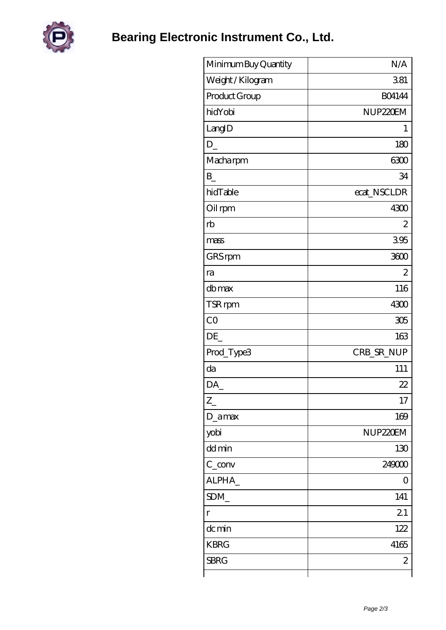

**[Bearing Electronic Instrument Co., Ltd.](https://zlikb.com)**

| Minimum Buy Quantity | N/A                  |
|----------------------|----------------------|
| Weight / Kilogram    | 381                  |
| Product Group        | <b>BO4144</b>        |
| hidYobi              | NUP <sub>220EM</sub> |
| LangID               | 1                    |
| D                    | 180                  |
| Macharpm             | 6300                 |
| B                    | 34                   |
| hidTable             | ecat_NSCLDR          |
| Oil rpm              | 4300                 |
| rb                   | 2                    |
| mass                 | 395                  |
| GRS rpm              | 3600                 |
| ra                   | $\overline{2}$       |
| dbmax                | 116                  |
| TSR rpm              | 4300                 |
| CO                   | 305                  |
| DE                   | 163                  |
| Prod_Type3           | CRB_SR_NUP           |
| da                   | 111                  |
| DA_                  | 22                   |
| $Z_{\perp}$          | 17                   |
| D_amax               | 169                  |
| yobi                 | NUP <sub>220EM</sub> |
| dd min               | 130                  |
| $C_{conv}$           | 249000               |
| ALPHA_               | 0                    |
| SDM_                 | 141                  |
| $\mathbf{r}$         | 21                   |
| dc min               | 122                  |
| <b>KBRG</b>          | 4165                 |
| <b>SBRG</b>          | 2                    |
|                      |                      |